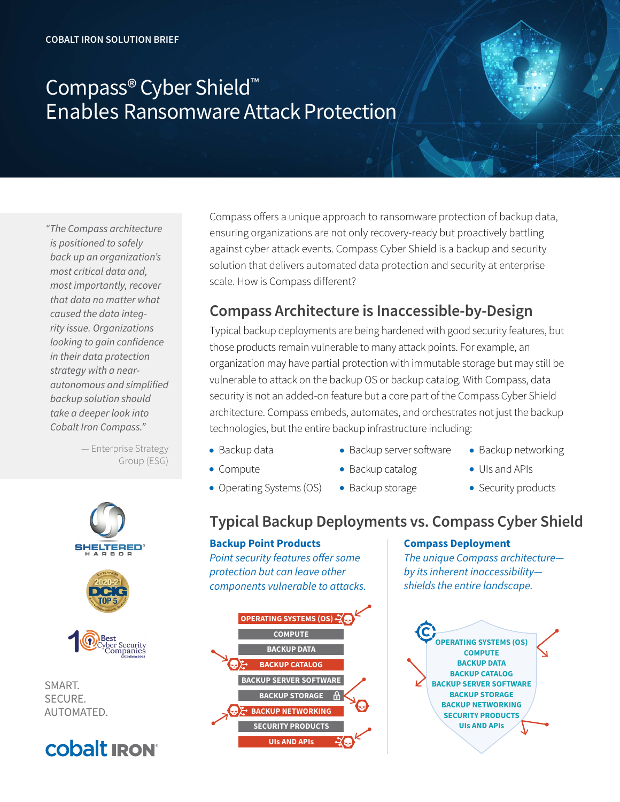## Compass® Cyber Shield™ Enables Ransomware Attack Protection

*"The Compass architecture is positioned to safely back up an organization's most critical data and, most importantly, recover that data no matter what caused the data integrity issue. Organizations looking to gain confidence in their data protection strategy with a nearautonomous and simplified backup solution should take a deeper look into Cobalt Iron Compass."* 

> — Enterprise Strategy Group (ESG)



SMART. SECURE. AUTOMATED.



Compass offers a unique approach to ransomware protection of backup data, ensuring organizations are not only recovery-ready but proactively battling against cyber attack events. Compass Cyber Shield is a backup and security solution that delivers automated data protection and security at enterprise scale. How is Compass different?

### **Compass Architecture is Inaccessible-by-Design**

Typical backup deployments are being hardened with good security features, but those products remain vulnerable to many attack points. For example, an organization may have partial protection with immutable storage but may still be vulnerable to attack on the backup OS or backup catalog. With Compass, data security is not an added-on feature but a core part of the Compass Cyber Shield architecture. Compass embeds, automates, and orchestrates not just the backup technologies, but the entire backup infrastructure including:

- Backup data
- $\bullet$  Compute
- Backup server software
- Backup catalog
- Operating Systems (OS)  $\bullet$  Backup storage
- Backup networking
- UIs and APIs
- Security products

## **Typical Backup Deployments vs. Compass Cyber Shield**

#### **Backup Point Products**

Point security features offer some protection but can leave other components vulnerable to attacks.



#### **Compass Deployment**

The unique Compass architecture by its inherent inaccessibility shields the entire landscape.